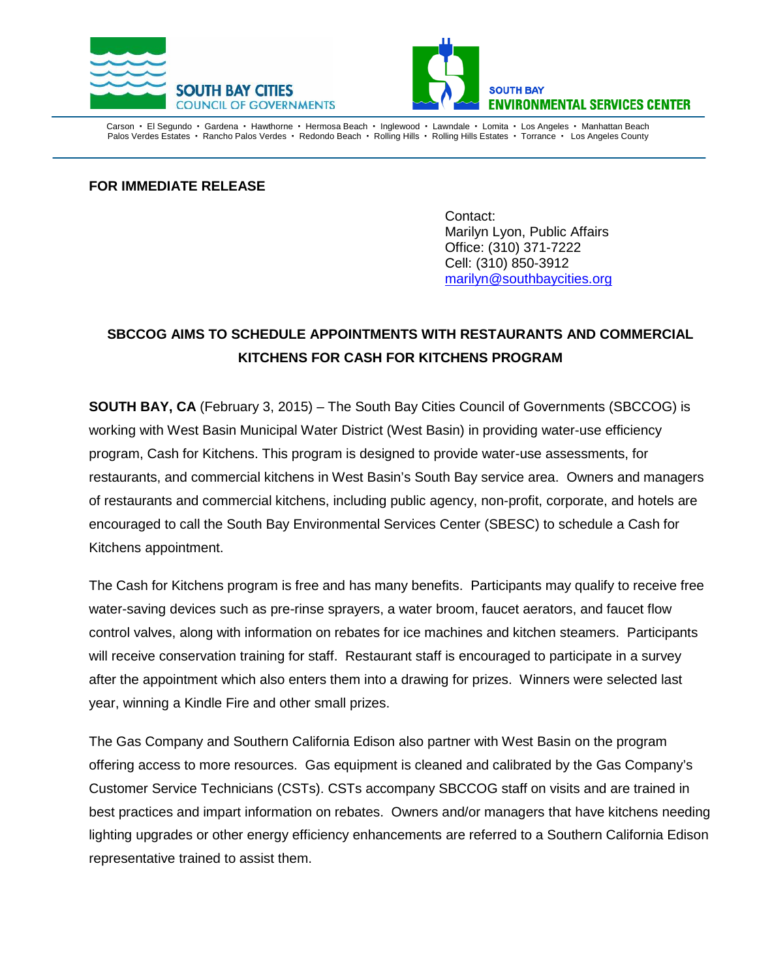



Carson • El Segundo • Gardena • Hawthorne • Hermosa Beach • Inglewood • Lawndale • Lomita • Los Angeles • Manhattan Beach Palos Verdes Estates · Rancho Palos Verdes · Redondo Beach · Rolling Hills · Rolling Hills Estates · Torrance · Los Angeles County

**FOR IMMEDIATE RELEASE**

Contact: Marilyn Lyon, Public Affairs Office: (310) 371-7222 Cell: (310) 850-3912 [marilyn@southbaycities.org](mailto:marilyn@southbaycities.org)

## **SBCCOG AIMS TO SCHEDULE APPOINTMENTS WITH RESTAURANTS AND COMMERCIAL KITCHENS FOR CASH FOR KITCHENS PROGRAM**

**SOUTH BAY, CA** (February 3, 2015) – The South Bay Cities Council of Governments (SBCCOG) is working with West Basin Municipal Water District (West Basin) in providing water-use efficiency program, Cash for Kitchens. This program is designed to provide water-use assessments, for restaurants, and commercial kitchens in West Basin's South Bay service area. Owners and managers of restaurants and commercial kitchens, including public agency, non-profit, corporate, and hotels are encouraged to call the South Bay Environmental Services Center (SBESC) to schedule a Cash for Kitchens appointment.

The Cash for Kitchens program is free and has many benefits. Participants may qualify to receive free water-saving devices such as pre-rinse sprayers, a water broom, faucet aerators, and faucet flow control valves, along with information on rebates for ice machines and kitchen steamers. Participants will receive conservation training for staff. Restaurant staff is encouraged to participate in a survey after the appointment which also enters them into a drawing for prizes. Winners were selected last year, winning a Kindle Fire and other small prizes.

The Gas Company and Southern California Edison also partner with West Basin on the program offering access to more resources. Gas equipment is cleaned and calibrated by the Gas Company's Customer Service Technicians (CSTs). CSTs accompany SBCCOG staff on visits and are trained in best practices and impart information on rebates. Owners and/or managers that have kitchens needing lighting upgrades or other energy efficiency enhancements are referred to a Southern California Edison representative trained to assist them.